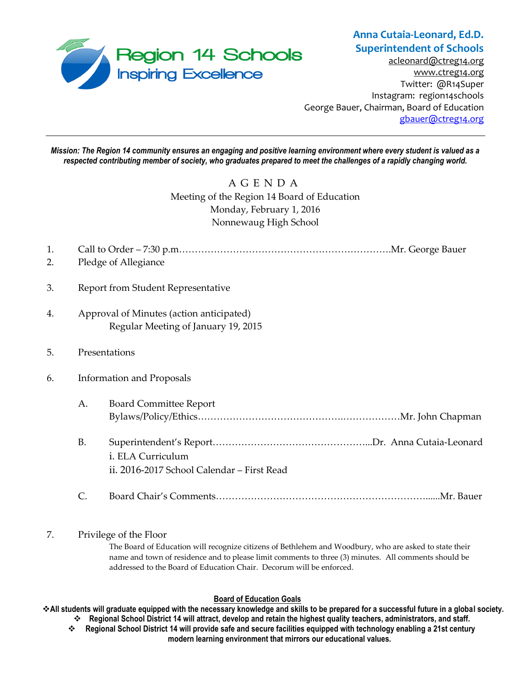

# **Anna Cutaia-Leonard, Ed.D. Superintendent of Schools**

[acleonard@ctreg14.org](mailto:acleonard@ctreg14.org) [www.ctreg14.org](http://www.ctreg14.org/) Twitter: @R14Super Instagram: region14schools George Bauer, Chairman, Board of Education [gbauer@ctreg14.org](mailto:gbauer@ctreg14.org)

*Mission: The Region 14 community ensures an engaging and positive learning environment where every student is valued as a respected contributing member of society, who graduates prepared to meet the challenges of a rapidly changing world.*

## A G E N D A Meeting of the Region 14 Board of Education Monday, February 1, 2016 Nonnewaug High School

| 1. |                                                                                 |                                                                 |
|----|---------------------------------------------------------------------------------|-----------------------------------------------------------------|
| 2. | Pledge of Allegiance                                                            |                                                                 |
| 3. | Report from Student Representative                                              |                                                                 |
| 4. | Approval of Minutes (action anticipated)<br>Regular Meeting of January 19, 2015 |                                                                 |
| 5. | Presentations                                                                   |                                                                 |
| 6. | <b>Information and Proposals</b>                                                |                                                                 |
|    | А.                                                                              | <b>Board Committee Report</b>                                   |
|    | <b>B.</b>                                                                       | i. ELA Curriculum<br>ii. 2016-2017 School Calendar - First Read |
|    | C.                                                                              |                                                                 |

### 7. Privilege of the Floor

The Board of Education will recognize citizens of Bethlehem and Woodbury, who are asked to state their name and town of residence and to please limit comments to three (3) minutes. All comments should be addressed to the Board of Education Chair. Decorum will be enforced.

#### **Board of Education Goals**

**All students will graduate equipped with the necessary knowledge and skills to be prepared for a successful future in a global society. Regional School District 14 will attract, develop and retain the highest quality teachers, administrators, and staff.**

 **Regional School District 14 will provide safe and secure facilities equipped with technology enabling a 21st century modern learning environment that mirrors our educational values.**